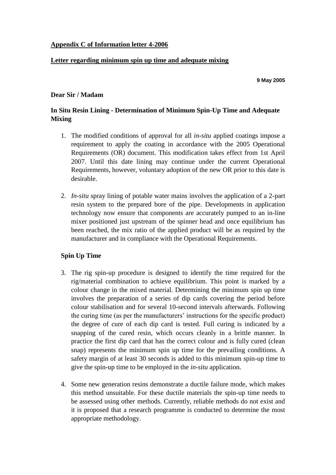# **Appendix C of Information letter 4-2006**

### **Letter regarding minimum spin up time and adequate mixing**

**9 May 2005**

#### **Dear Sir / Madam**

# **In Situ Resin Lining - Determination of Minimum Spin-Up Time and Adequate Mixing**

- 1. The modified conditions of approval for all *in-situ* applied coatings impose a requirement to apply the coating in accordance with the 2005 Operational Requirements (OR) document. This modification takes effect from 1st April 2007. Until this date lining may continue under the current Operational Requirements, however, voluntary adoption of the new OR prior to this date is desirable.
- 2. *In-situ* spray lining of potable water mains involves the application of a 2-part resin system to the prepared bore of the pipe. Developments in application technology now ensure that components are accurately pumped to an in-line mixer positioned just upstream of the spinner head and once equilibrium has been reached, the mix ratio of the applied product will be as required by the manufacturer and in compliance with the Operational Requirements.

# **Spin Up Time**

- 3. The rig spin-up procedure is designed to identify the time required for the rig/material combination to achieve equilibrium. This point is marked by a colour change in the mixed material. Determining the minimum spin up time involves the preparation of a series of dip cards covering the period before colour stabilisation and for several 10-second intervals afterwards. Following the curing time (as per the manufacturers' instructions for the specific product) the degree of cure of each dip card is tested. Full curing is indicated by a snapping of the cured resin, which occurs cleanly in a brittle manner. In practice the first dip card that has the correct colour and is fully cured (clean snap) represents the minimum spin up time for the prevailing conditions. A safety margin of at least 30 seconds is added to this minimum spin-up time to give the spin-up time to be employed in the *in-situ* application.
- 4. Some new generation resins demonstrate a ductile failure mode, which makes this method unsuitable. For these ductile materials the spin-up time needs to be assessed using other methods. Currently, reliable methods do not exist and it is proposed that a research programme is conducted to determine the most appropriate methodology.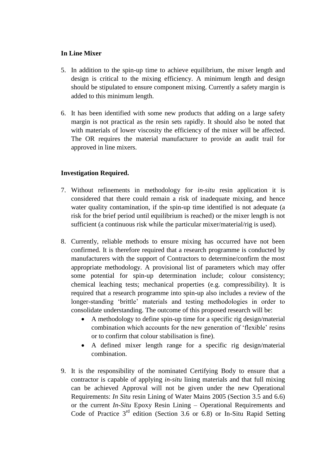# **In Line Mixer**

- 5. In addition to the spin-up time to achieve equilibrium, the mixer length and design is critical to the mixing efficiency. A minimum length and design should be stipulated to ensure component mixing. Currently a safety margin is added to this minimum length.
- 6. It has been identified with some new products that adding on a large safety margin is not practical as the resin sets rapidly. It should also be noted that with materials of lower viscosity the efficiency of the mixer will be affected. The OR requires the material manufacturer to provide an audit trail for approved in line mixers.

### **Investigation Required.**

- 7. Without refinements in methodology for *in-situ* resin application it is considered that there could remain a risk of inadequate mixing, and hence water quality contamination, if the spin-up time identified is not adequate (a risk for the brief period until equilibrium is reached) or the mixer length is not sufficient (a continuous risk while the particular mixer/material/rig is used).
- 8. Currently, reliable methods to ensure mixing has occurred have not been confirmed. It is therefore required that a research programme is conducted by manufacturers with the support of Contractors to determine/confirm the most appropriate methodology. A provisional list of parameters which may offer some potential for spin-up determination include; colour consistency; chemical leaching tests; mechanical properties (e.g. compressibility). It is required that a research programme into spin-up also includes a review of the longer-standing 'brittle' materials and testing methodologies in order to consolidate understanding. The outcome of this proposed research will be:
	- A methodology to define spin-up time for a specific rig design/material combination which accounts for the new generation of 'flexible' resins or to confirm that colour stabilisation is fine).
	- A defined mixer length range for a specific rig design/material combination.
- 9. It is the responsibility of the nominated Certifying Body to ensure that a contractor is capable of applying *in-situ* lining materials and that full mixing can be achieved Approval will not be given under the new Operational Requirements: *In Situ* resin Lining of Water Mains 2005 (Section 3.5 and 6.6) or the current *In-Situ* Epoxy Resin Lining – Operational Requirements and Code of Practice  $3^{rd}$  edition (Section 3.6 or 6.8) or In-Situ Rapid Setting